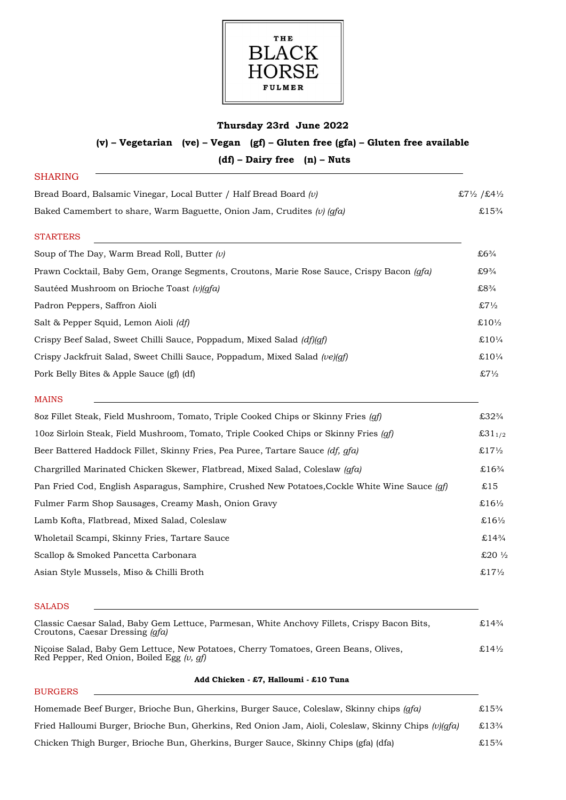

## **Thursday 23rd June 2022**

# **(v) – Vegetarian (ve) – Vegan (gf) – Gluten free (gfa) – Gluten free available (df) – Dairy free (n) – Nuts**

| <b>SHARING</b>                                                                            |                        |
|-------------------------------------------------------------------------------------------|------------------------|
| Bread Board, Balsamic Vinegar, Local Butter / Half Bread Board $(v)$                      | £7½ /£4½               |
| Baked Camembert to share, Warm Baguette, Onion Jam, Crudites (v) $(qfa)$                  | £15 <sup>3</sup> /4    |
| <b>STARTERS</b>                                                                           |                        |
| Soup of The Day, Warm Bread Roll, Butter $(v)$                                            | £6 <sup>3</sup> /4     |
| Prawn Cocktail, Baby Gem, Orange Segments, Croutons, Marie Rose Sauce, Crispy Bacon (qfa) | £9 <sup>3</sup> /4     |
| Sautéed Mushroom on Brioche Toast (v)(qfa)                                                | $£8\frac{3}{4}$        |
| Padron Peppers, Saffron Aioli                                                             | $$7\frac{1}{2}$$       |
| Salt & Pepper Squid, Lemon Aioli (df)                                                     | $\pounds10\frac{1}{2}$ |
| Crispy Beef Salad, Sweet Chilli Sauce, Poppadum, Mixed Salad (df)(qf)                     | £10 $\frac{1}{4}$      |
| Crispy Jackfruit Salad, Sweet Chilli Sauce, Poppadum, Mixed Salad (ve)(qf)                | £10 $\frac{1}{4}$      |
| Pork Belly Bites & Apple Sauce (gf) (df)                                                  | $$7\frac{1}{2}$$       |

| 8oz Fillet Steak, Field Mushroom, Tomato, Triple Cooked Chips or Skinny Fries (qf)                      | £32 <sup>3</sup> /4             |
|---------------------------------------------------------------------------------------------------------|---------------------------------|
| 10oz Sirloin Steak, Field Mushroom, Tomato, Triple Cooked Chips or Skinny Fries (qf)                    | £31 $1/2$                       |
| Beer Battered Haddock Fillet, Skinny Fries, Pea Puree, Tartare Sauce (df, qfa)                          | $£17\frac{1}{2}$                |
| Chargrilled Marinated Chicken Skewer, Flatbread, Mixed Salad, Coleslaw (qfa)                            | £16 <sup>3</sup> /4             |
| Pan Fried Cod, English Asparagus, Samphire, Crushed New Potatoes, Cockle White Wine Sauce ( <i>qf</i> ) | £15                             |
| Fulmer Farm Shop Sausages, Creamy Mash, Onion Gravy                                                     | £16½                            |
| Lamb Kofta, Flatbread, Mixed Salad, Coleslaw                                                            | £16 <sup>1</sup> / <sub>2</sub> |
| Wholetail Scampi, Skinny Fries, Tartare Sauce                                                           | £14 <sup>3</sup> /4             |
| Scallop & Smoked Pancetta Carbonara                                                                     | £20 $\frac{1}{2}$               |
| Asian Style Mussels, Miso & Chilli Broth                                                                | £17 $\frac{1}{2}$               |
|                                                                                                         |                                 |

#### SALADS

BURGERS

MAINS

| Classic Caesar Salad, Baby Gem Lettuce, Parmesan, White Anchovy Fillets, Crispy Bacon Bits,<br>Croutons, Caesar Dressing ( <i>gfa</i> ) | £14 <sup>3</sup> / <sub>4</sub> |
|-----------------------------------------------------------------------------------------------------------------------------------------|---------------------------------|
| Nicoise Salad, Baby Gem Lettuce, New Potatoes, Cherry Tomatoes, Green Beans, Olives,<br>Red Pepper, Red Onion, Boiled Egg $(v, af)$     | £14\%                           |

#### **Add Chicken - £7, Halloumi - £10 Tuna**

| Homemade Beef Burger, Brioche Bun, Gherkins, Burger Sauce, Coleslaw, Skinny chips (gfa)             | £15 <sup>3</sup> /4 |
|-----------------------------------------------------------------------------------------------------|---------------------|
| Fried Halloumi Burger, Brioche Bun, Gherkins, Red Onion Jam, Aioli, Coleslaw, Skinny Chips (v)(qfa) | £13 <sup>3</sup> /4 |
| Chicken Thigh Burger, Brioche Bun, Gherkins, Burger Sauce, Skinny Chips (gfa) (dfa)                 | £15 <sup>3</sup> /4 |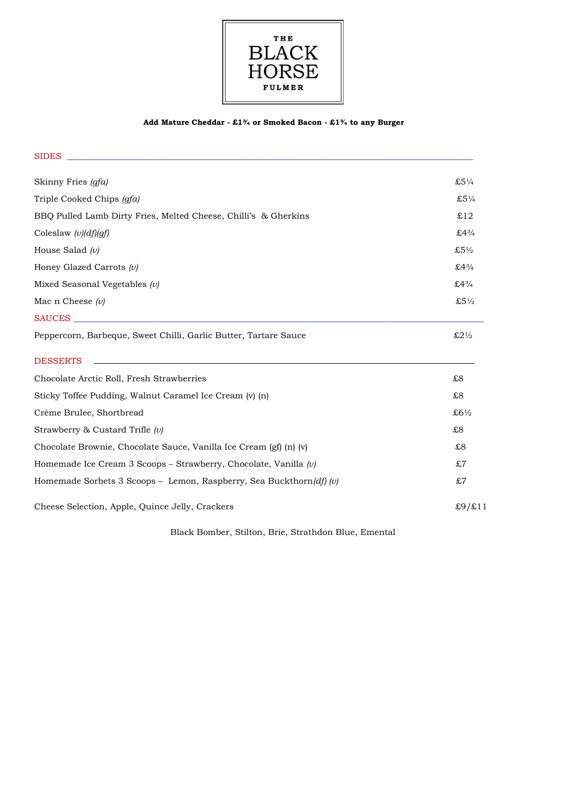

### **Add Mature Cheddar - £1¾ or Smoked Bacon - £1¾ to any Burger**

| <b>SIDES</b>                                                        |                      |
|---------------------------------------------------------------------|----------------------|
| Skinny Fries (gfa)                                                  | $$5\frac{1}{4}$      |
| Triple Cooked Chips (gfa)                                           | £5 $\frac{1}{4}$     |
| BBQ Pulled Lamb Dirty Fries, Melted Cheese, Chilli's & Gherkins     | £12                  |
| Coleslaw $(v)(df)(gf)$                                              | £4 $3/4$             |
| House Salad $(v)$                                                   | $£5\frac{1}{2}$      |
| Honey Glazed Carrots $(v)$                                          | $£4\frac{3}{4}$      |
| Mixed Seasonal Vegetables $(v)$                                     | £4 $3/4$             |
| Mac n Cheese $(v)$                                                  | $$5\frac{1}{2}$$     |
| SAUCES                                                              |                      |
| Peppercorn, Barbeque, Sweet Chilli, Garlic Butter, Tartare Sauce    | $$2\frac{1}{2}$$     |
| <b>DESSERTS</b>                                                     |                      |
| Chocolate Arctic Roll, Fresh Strawberries                           | £8                   |
| Sticky Toffee Pudding, Walnut Caramel Ice Cream (v) (n)             | £8                   |
| Crème Brulee, Shortbread                                            | £61/2                |
| Strawberry & Custard Trifle $(v)$                                   | £8                   |
| Chocolate Brownie, Chocolate Sauce, Vanilla Ice Cream (gf) (n) (v)  | £8                   |
| Homemade Ice Cream 3 Scoops – Strawberry, Chocolate, Vanilla $(v)$  | £7                   |
| Homemade Sorbets 3 Scoops - Lemon, Raspberry, Sea Buckthorn(df) (v) | £7                   |
| Cheese Selection, Apple, Quince Jelly, Crackers                     | $\pounds9/\pounds11$ |

Black Bomber, Stilton, Brie, Strathdon Blue, Emental